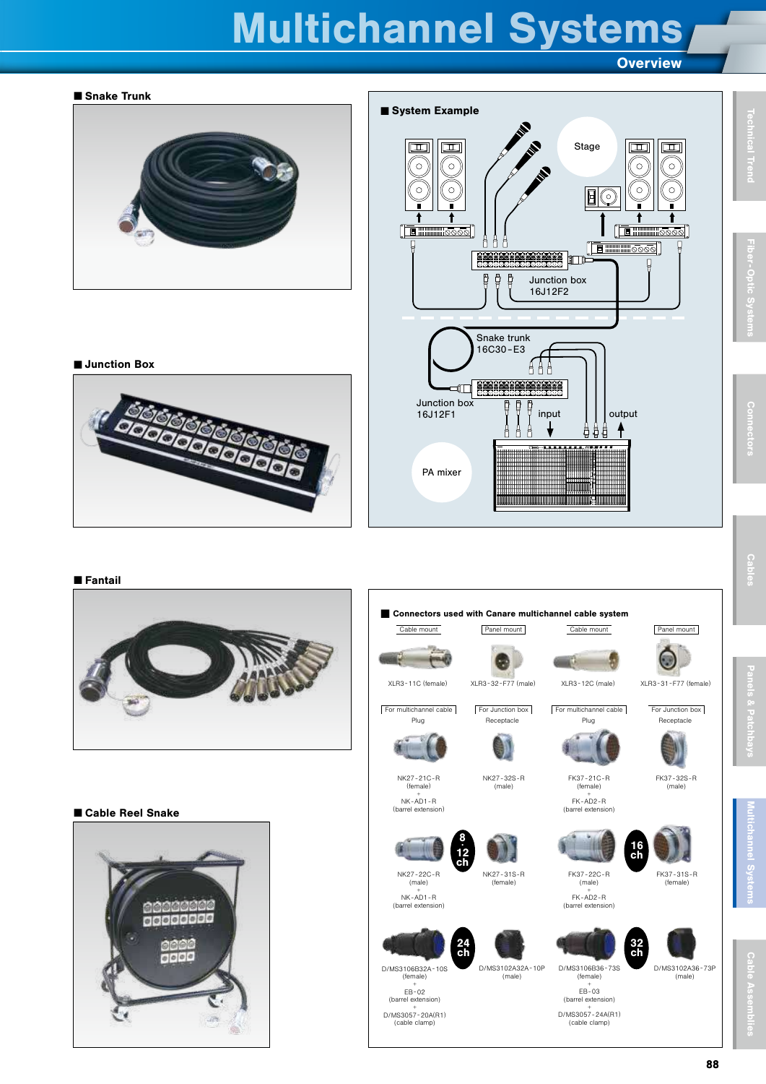# Multichannel Systems

Overview

<span id="page-0-0"></span>

+ D/MS3057 -20A(R1) (cable clamp)

#### ■ Fantail



#### ■ Cable Reel Snake





+ D/MS3057 -24A(R1) (cable clamp)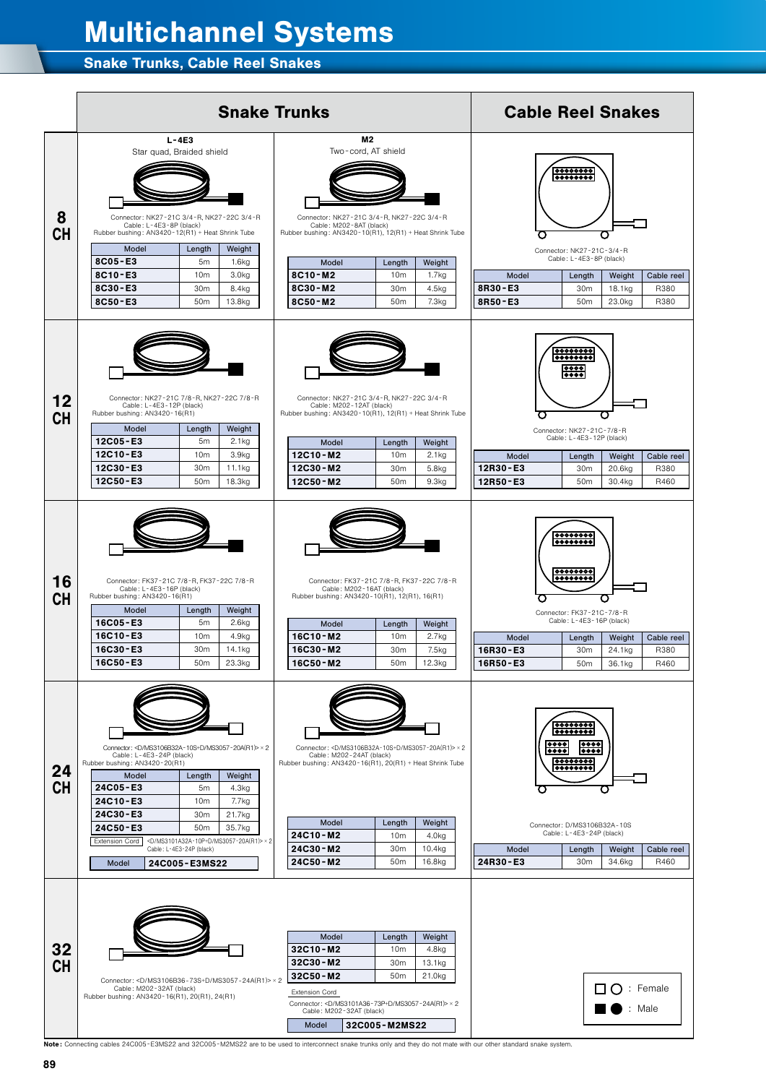#### 12. LE 1ulu  $12C^*$ anr 24C\*\* - M2 **1 C Multichannel Systems D/Ms310121201212012**

### 24C\*\* - E3 32C\*\* - M2 Snake Trunks, Cable Reel Snakes



Note : Connecting cables 24C005 -E3MS22 and 32C005 -M2MS22 are to be used to interconnect snake trunks only and they do not mate with our other standard snake system.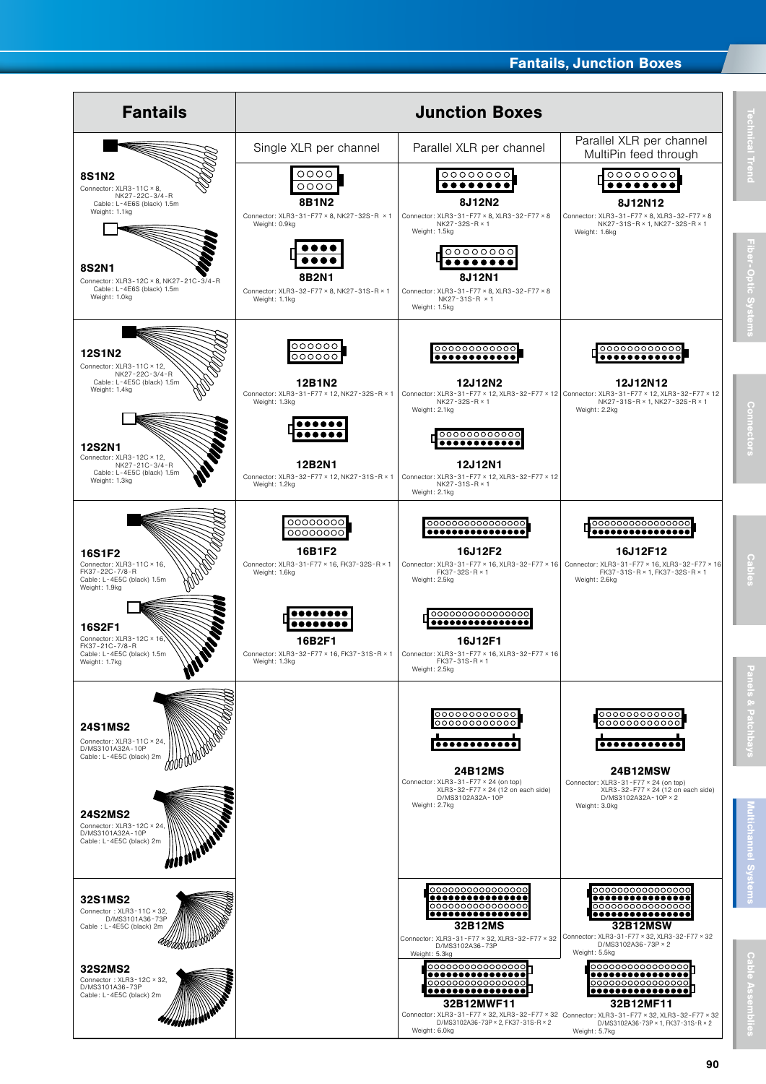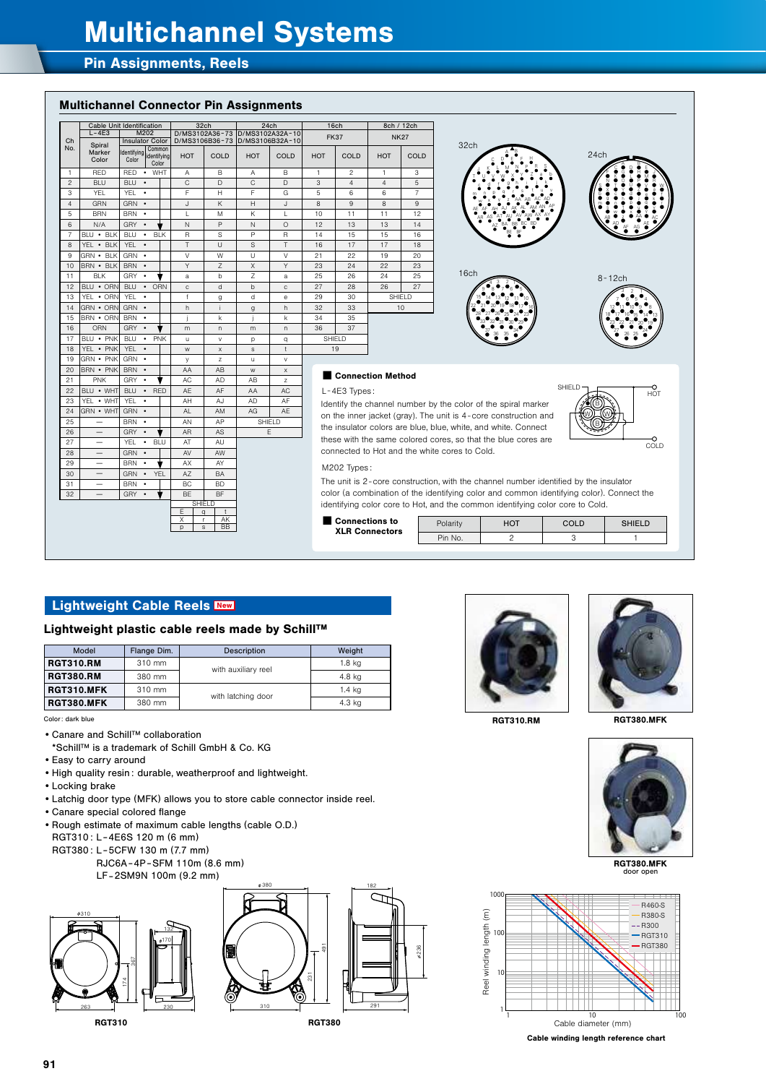## Multichannel Systems

#### Pin Assignments, Reels

#### Multichannel Connector Pin Assignments

|                | Cable Unit Identification |                                  |                         |              | 32ch           |              | 24ch                           |                          | 16ch           |                | 8ch / 12ch         |  |
|----------------|---------------------------|----------------------------------|-------------------------|--------------|----------------|--------------|--------------------------------|--------------------------|----------------|----------------|--------------------|--|
| Ch<br>No.      | $L - 4E3$                 | M202                             |                         |              | D/MS3102A36-73 |              | D/MS3102A32A-10                |                          | <b>FK37</b>    |                | <b>NK27</b>        |  |
|                | Spiral                    | <b>Insulator Color</b><br>Common |                         |              |                |              | D/MS3106B36-73 D/MS3106B32A-10 |                          |                |                |                    |  |
|                | Marker<br>Color           | Identifving<br>Color             | lidentifvina<br>Color   | HOT          | COLD           | HOT          | COLD                           | HOT                      | COLD           | HOT            | <b>COLD</b>        |  |
| 1              | RED                       | <b>RFD</b>                       | $\bullet$ WHT           | Α            | R.             | Α            | <sub>B</sub>                   | 1                        | 2              | 1              | 3                  |  |
| $\mathfrak{p}$ | <b>BLU</b>                | <b>BIU</b><br>$\cdot$            |                         | C            | D.             | C            | $\Box$                         | 3                        | $\overline{4}$ | $\overline{4}$ | 5                  |  |
| 3              | <b>YFI</b>                | YFI                              | ٠                       | F            | Н              | F            | G                              | 5                        | 6              | 6              | 7                  |  |
| $\overline{4}$ | GRN                       | GRN ·                            |                         | J            | K              | H            | $\mathbf{L}$                   | 8                        | 9              | 8              | 9                  |  |
| 5              | <b>BRN</b>                | BRN ·                            |                         | $\mathbf{L}$ | M              | K            | г                              | 10                       | 11             | 11             | 12                 |  |
| 6              | N/A                       | GRY .                            |                         | N            | P              | N            | $\Omega$                       | 12                       | 13             | 13             | 14                 |  |
| $\overline{7}$ | $BIII \cdot BIK$          | <b>BLU</b>                       | <b>BLK</b><br>$\bullet$ | R            | S              | P            | R                              | 14                       | 15             | 15             | 16                 |  |
| 8              | YEL . BLK                 | YEL .                            |                         | T            | $\cup$         | S            | T                              | 16                       | 17             | 17             | 18                 |  |
| 9              | $GRN - BIK$               | GRN ·                            |                         | V            | W              | $\cup$       | $\vee$                         | 21                       | 22             | 19             | 20                 |  |
| 10             | BRN · BLK                 | BRN ·                            |                         | Y            | Z              | X            | Y                              | 23                       | 24             | 22             | 23                 |  |
| 11             | <b>BLK</b>                | GRY .                            |                         | a            | h              | Z            | a                              | 25                       | 26             | 24             | 25                 |  |
| 12             | BLU · ORN                 | <b>BIU</b>                       | ORN<br>$\bullet$        | $\mathsf{C}$ | d              | $\mathsf{h}$ | $\mathbb{C}$                   | 27                       | 28             | 26             | 27                 |  |
| 13             | YEL . ORN                 | <b>YEL</b>                       | $\bullet$               | f            | g              | d            | e                              | 29                       | 30             |                | SHIFI <sub>D</sub> |  |
| 14             | GRN • ORN                 | GRN ·                            |                         | h            |                | g            | h                              | 32                       | 33             |                | 10                 |  |
| 15             | BRN • ORN                 | BRN                              | $\bullet$               |              | k              | İ            | k                              | 34                       | 35             |                |                    |  |
| 16             | ORN                       | GRY                              | $\bullet$               | m            | n.             | m            | n                              | 36                       | 37             |                |                    |  |
| 17             | <b>BIU • PNK</b>          | <b>BLU</b>                       | <b>PNK</b><br>$\bullet$ | $\mathbf{H}$ | $\mathsf{v}$   | p            | q                              |                          | SHIFLD         |                |                    |  |
| 18             | YEL . PNK                 | <b>YEL</b>                       | $\bullet$               | W            | $\mathsf{x}$   | s            | $\ddagger$                     |                          | 19             |                |                    |  |
| 19             | GRN • PNK                 | GRN                              | $\bullet$               | У            | z              | u            | v                              |                          |                |                |                    |  |
| 20             | <b>BRN • PNK</b>          | <b>BRN</b>                       | $\bullet$               | AA           | AB             | W            | X                              | <b>Connection Method</b> |                |                |                    |  |
| 21             | <b>PNK</b>                | <b>GRY</b>                       | $\bullet$               | AC           | AD             | AB           | z                              |                          |                |                |                    |  |





#### L -4E3 Types :

Identify the channel number by the color of the spiral marker on the inner jacket (gray). The unit is 4 - core construction and the insulator colors are blue, blue, white, and white. Connect these with the same colored cores, so that the blue cores are connected to Hot and the white cores to Cold.



#### M202 Types :

The unit is 2 - core construction, with the channel number identified by the insulator color (a combination of the identifying color and common identifying color). Connect the identifying color core to Hot, and the common identifying color core to Cold.



#### Lightweight Cable Reels New

#### Lightweight plastic cable reels made by Schill™

SHIELD  $E | q | t$ X | r | AK p s BB

22 BLU • WHT BLU • RED AE AF AA AC

24 GRN • WHT GRN • AL AM AG AE 24 GRN • WHT GRN • AL AM AG<br>25 - BRN • AN AP SHIELD 25 - BRN • AN AP SHIE<br>26 - GRY • AR AS E 26 - GRY ● AR AS<br>27 - YEL ● BLU AT AU 27 - YEL BLU AT AU<br>28 - GRN • AV AW 28 - GRN • AV AW<br>29 - BRN • ♥ AX AY 29 - BRN • ♥ AX AY<br>30 - GRN • YEL AZ BA 30 - GRN • YEL AZ BA<br>31 - BRN • BC BD  $\begin{array}{|c|c|c|c|c|}\n\hline\n31 & - & \text{BRN} & \text{BC} & \text{BD} \\
\hline\n32 & - & \text{GRY} & \text{BE} & \text{BF} \\
\hline\n\end{array}$ 

| Model             | Flange Dim. | <b>Description</b>  | Weight |  |  |
|-------------------|-------------|---------------------|--------|--|--|
| <b>RGT310.RM</b>  | 310 mm      | with auxiliary reel | 1.8 ka |  |  |
| <b>RGT380.RM</b>  | 380 mm      |                     | 4.8 kg |  |  |
| <b>RGT310.MFK</b> | 310 mm      | with latching door  | 1.4 ka |  |  |
| RGT380.MFK        | 380 mm      |                     | 4.3 kg |  |  |

Color: dark blue

- •Canare and Schill™ collaboration
- \*Schill™ is a trademark of Schill GmbH & Co. KG
- •Easy to carry around

YEL • WHT

- •High quality resin : durable, weatherproof and lightweight.
- •Locking brake
- •Latchig door type (MFK) allows you to store cable connector inside reel.
- •Canare special colored flange
- •Rough estimate of maximum cable lengths (cable O.D.) RGT310: L-4E6S 120 m (6 mm)
- RGT380 : L -5CFW 130 m (7.7 mm)
	- RJC6A-4P -SFM 110m (8.6 mm) LF -2SM9N 100m (9.2 mm)





236





RGT310.RM

RGT380.MFK



RGT380.MFK door open



Cable winding length reference chart